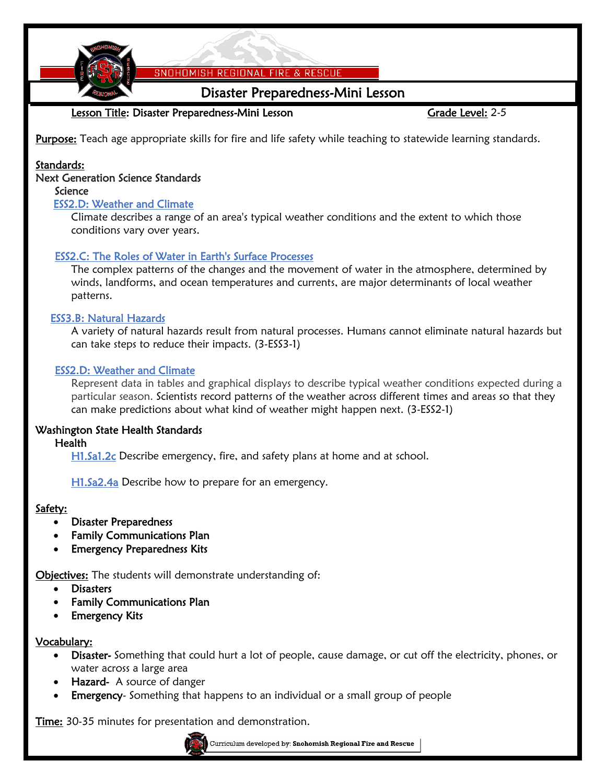

SNOHOMISH REGIONAL FIRE & RESCUE

## Disaster Preparedness-Mini Lesson

### Lesson Title: Disaster Preparedness-Mini Lesson Gramment Grade Level: 2-5

Purpose: Teach age appropriate skills for fire and life safety while teaching to statewide learning standards.

#### Standards:

#### Next Generation Science Standards

# Science

#### [ESS2.D: Weather and Climate](http://www.nap.edu/openbook.php?record_id=13165&page=186)

[Climate describes a range of an area's typical weather conditions and the extent to which those](http://www.nap.edu/openbook.php?record_id=13165&page=186)  [conditions vary over years.](http://www.nap.edu/openbook.php?record_id=13165&page=186)

#### [ESS2.C: The Roles of Water in Earth's Surface Processes](http://www.nap.edu/openbook.php?record_id=13165&page=184)

[The complex patterns of the changes and the movement of water in the atmosphere, determined by](http://www.nap.edu/openbook.php?record_id=13165&page=184)  [winds, landforms, and ocean temperatures and currents, are major determinants of local weather](http://www.nap.edu/openbook.php?record_id=13165&page=184)  [patterns.](http://www.nap.edu/openbook.php?record_id=13165&page=184)

#### [ESS3.B: Natural Hazards](http://www.nap.edu/openbook.php?record_id=13165&page=192)

[A variety of natural hazards result from natural processes. Humans cannot eliminate natural hazards but](http://www.nap.edu/openbook.php?record_id=13165&page=192)  [can take steps to reduce their impacts. \(3-ESS3-1\)](http://www.nap.edu/openbook.php?record_id=13165&page=192)

#### [ESS2.D: Weather and Climate](http://www.nap.edu/openbook.php?record_id=13165&page=186)

Represent data in tables and graphical displays to describe typical weather conditions expected during a particular season. [Scientists record patterns of the weather across different times and areas so that they](http://www.nap.edu/openbook.php?record_id=13165&page=186)  [can make predictions about what kind of weather might happen next. \(3-ESS2-1\)](http://www.nap.edu/openbook.php?record_id=13165&page=186)

#### Washington State Health Standards

#### **Health**

H1.Sa1.2c Describe emergency, fire, and safety plans at home and at school.

H1.Sa2.4a Describe how to prepare for an emergency.

#### Safety:

- Disaster Preparedness
- Family Communications Plan
- Emergency Preparedness Kits

Objectives: The students will demonstrate understanding of:

- **Disasters**
- Family Communications Plan
- Emergency Kits

#### Vocabulary:

- Disaster- Something that could hurt a lot of people, cause damage, or cut off the electricity, phones, or water across a large area
- Hazard- A source of danger
- Emergency- Something that happens to an individual or a small group of people

**Time:** 30-35 minutes for presentation and demonstration.

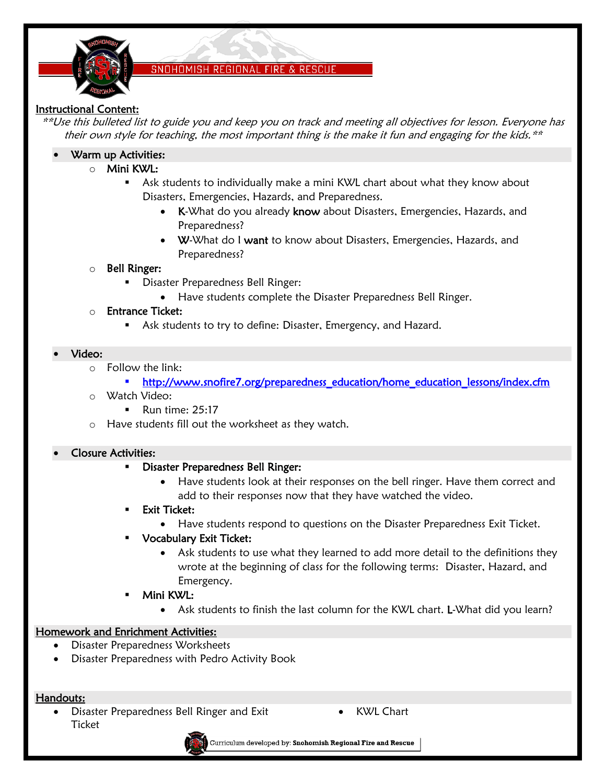

#### SNOHOMISH REGIONAL FIRE & RESCUE

#### Instructional Content:

\*\*Use this bulleted list to guide you and keep you on track and meeting all objectives for lesson. Everyone has their own style for teaching, the most important thing is the make it fun and engaging for the kids. $**$ 

- Warm up Activities:
	- o Mini KWL:
		- Ask students to individually make a mini KWL chart about what they know about Disasters, Emergencies, Hazards, and Preparedness.
			- K-What do you already know about Disasters, Emergencies, Hazards, and Preparedness?
			- W-What do I want to know about Disasters, Emergencies, Hazards, and Preparedness?

#### o Bell Ringer:

- **Disaster Preparedness Bell Ringer:** 
	- Have students complete the Disaster Preparedness Bell Ringer.

#### o Entrance Ticket:

**Ask students to try to define: Disaster, Emergency, and Hazard.** 

#### Video:

- o Follow the link:
	- \* http://www.snofire7.org/preparedness\_education/home\_education\_lessons/index.cfm
- o Watch Video:
	- Run time:  $25:17$
- o Have students fill out the worksheet as they watch.

#### Closure Activities:

- Disaster Preparedness Bell Ringer:
	- Have students look at their responses on the bell ringer. Have them correct and add to their responses now that they have watched the video.
- Exit Ticket:
	- Have students respond to questions on the Disaster Preparedness Exit Ticket.
- Vocabulary Exit Ticket:
	- Ask students to use what they learned to add more detail to the definitions they wrote at the beginning of class for the following terms: Disaster, Hazard, and Emergency.
- Mini KWL:
	- Ask students to finish the last column for the KWL chart. L-What did you learn?

#### Homework and Enrichment Activities:

- Disaster Preparedness Worksheets
- Disaster Preparedness with Pedro Activity Book

#### Handouts:

 Disaster Preparedness Bell Ringer and Exit **Ticket** 

KWL Chart



Curriculum developed by: Snohomish Regional Fire and Rescue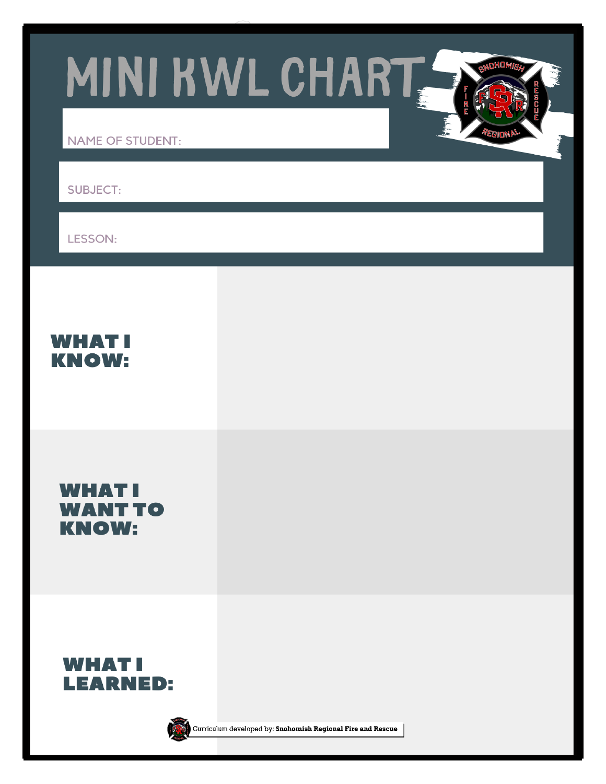MINI KWL CHART

**NAME OF STUDENT:** 

**SUBJECT:** 

**LESSON:** 

**WHAT! KNOW:** 

**WHATI WANT TO KNOW:** 





Curriculum developed by: Snohomish Regional Fire and Rescue